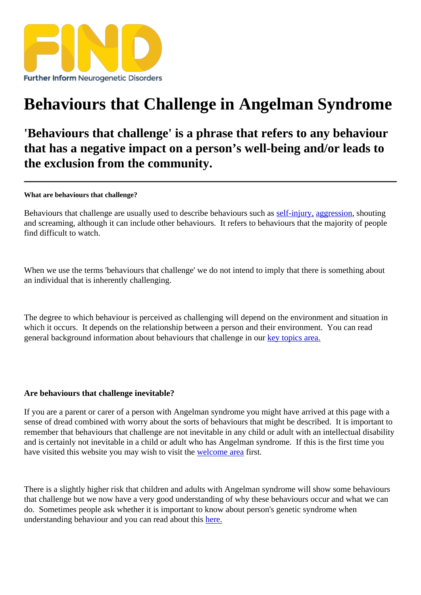## [Behaviours that Ch](https://findresources.co.uk)allenge in Angelman Syndrome

'Behaviours that challenge' is a phrase that refers to any behaviour that has a negative impact on a person's well-being and/or leads to the exclusion from the community.

What are behaviours that challenge?

Behaviours that challenge are usually used to describe behaviours **sedhing any, aggression** shouting and screaming, although it can include other behaviours. It refers to behaviours that the majority of people find difficult to watch.

When we use the terms 'behaviours that challenge' we do not intend to imply that there is something about an individual that is inherently challenging.

The degree to which behaviour is perceived as challenging will depend on the environment and situation in which it occurs. It depends on the relationship between a person and their environment read general background information about behaviours that challenge in putopics area.

Are behaviours that challenge inevitable?

If you are a parent or carer of a person with Angelman syndrome you might have arrived at this page with a sense of dread combined with worry about the sorts of behaviours that might be described. It is important to remember that behaviours that challengenate nevitable in any child or adult with an intellectual disability and is certainly not inevitable in a child or adult who has Angelman syndrome. If this is the first time you have visited this website you may wish to visit the come are first.

There is a lightly higher risk that children and a[dults with An](/welcome-to-find)gelman syndrome will show some behaviours that challenge but we now have a very good understanding of why these behaviours occur and what we can do. Sometimes people ask whether it is important to know about person's genetic syndrome when understanding behaviour and you can read about this